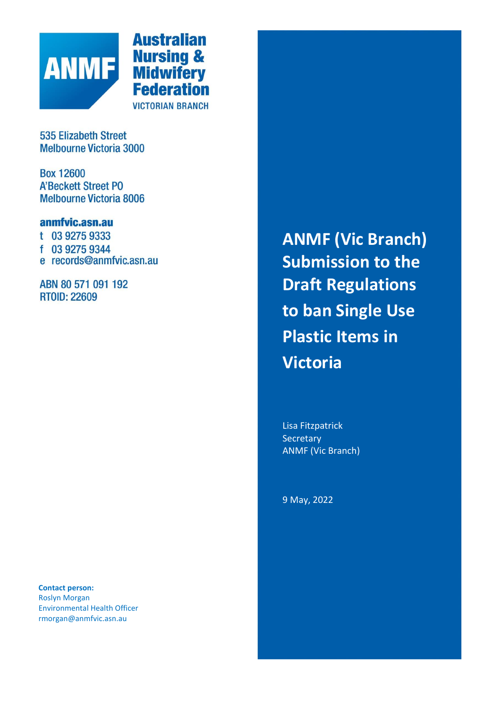

**Australian Nursing &<br>Midwifery<br>Federation VICTORIAN BRANCH** 

**535 Elizabeth Street Melbourne Victoria 3000** 

**Box 12600 A'Beckett Street PO Melbourne Victoria 8006** 

# anmfvic.asn.au

- t 03 9275 9333
- f 03 9275 9344
- e records@anmfvic.asn.au

ABN 80 571 091 192 **RTOID: 22609** 

**Contact person:** Roslyn Morgan Environmental Health Officer rmorgan@anmfvic.asn.au

**ANMF (Vic Branch) Submission to the Draft Regulations to ban Single Use Plastic Items in Victoria**

Lisa Fitzpatrick **Secretary** ANMF (Vic Branch)

9 May, 2022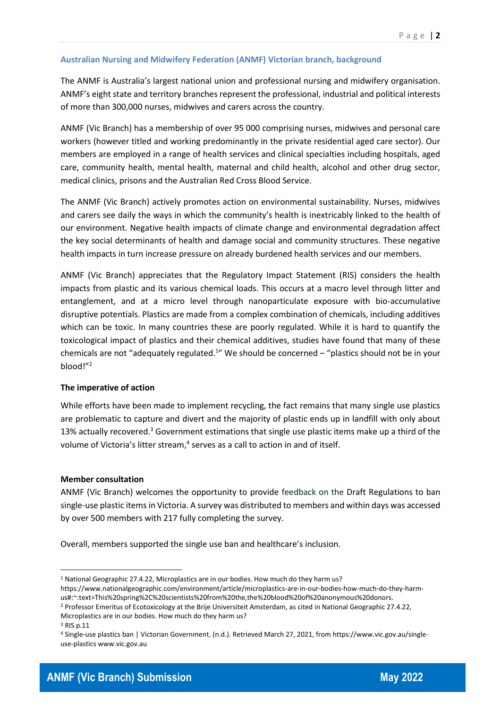## **Australian Nursing and Midwifery Federation (ANMF) Victorian branch, background**

The ANMF is Australia's largest national union and professional nursing and midwifery organisation. ANMF's eight state and territory branches represent the professional, industrial and political interests of more than 300,000 nurses, midwives and carers across the country.

ANMF (Vic Branch) has a membership of over 95 000 comprising nurses, midwives and personal care workers (however titled and working predominantly in the private residential aged care sector). Our members are employed in a range of health services and clinical specialties including hospitals, aged care, community health, mental health, maternal and child health, alcohol and other drug sector, medical clinics, prisons and the Australian Red Cross Blood Service.

The ANMF (Vic Branch) actively promotes action on environmental sustainability. Nurses, midwives and carers see daily the ways in which the community's health is inextricably linked to the health of our environment. Negative health impacts of climate change and environmental degradation affect the key social determinants of health and damage social and community structures. These negative health impacts in turn increase pressure on already burdened health services and our members.

ANMF (Vic Branch) appreciates that the Regulatory Impact Statement (RIS) considers the health impacts from plastic and its various chemical loads. This occurs at a macro level through litter and entanglement, and at a micro level through nanoparticulate exposure with bio-accumulative disruptive potentials. Plastics are made from a complex combination of chemicals, including additives which can be toxic. In many countries these are poorly regulated. While it is hard to quantify the toxicological impact of plastics and their chemical additives, studies have found that many of these chemicals are not "adequately regulated.<sup>1</sup>" We should be concerned - "plastics should not be in your blood!"<sup>2</sup>

## **The imperative of action**

While efforts have been made to implement recycling, the fact remains that many single use plastics are problematic to capture and divert and the majority of plastic ends up in landfill with only about 13% actually recovered.<sup>3</sup> Government estimations that single use plastic items make up a third of the volume of Victoria's litter stream, $<sup>4</sup>$  serves as a call to action in and of itself.</sup>

## **Member consultation**

ANMF (Vic Branch) welcomes the opportunity to provide feedback on the Draft Regulations to ban single-use plastic items in Victoria. A survey was distributed to members and within days was accessed by over 500 members with 217 fully completing the survey.

Overall, members supported the single use ban and healthcare's inclusion.



<sup>&</sup>lt;sup>1</sup> National Geographic 27.4.22, Microplastics are in our bodies. How much do they harm us?

https://www.nationalgeographic.com/environment/article/microplastics-are-in-our-bodies-how-much-do-they-harmus#:~:text=This%20spring%2C%20scientists%20from%20the,the%20blood%20of%20anonymous%20donors.

<sup>2</sup> Professor Emeritus of Ecotoxicology at the Brije Universiteit Amsterdam, as cited in National Geographic 27.4.22, Microplastics are in our bodies. How much do they harm us?

<sup>3</sup> RIS p.11

<sup>4</sup> Single-use plastics ban | Victorian Government. (n.d.). Retrieved March 27, 2021, from https://www.vic.gov.au/singleuse-plastics www.vic.gov.au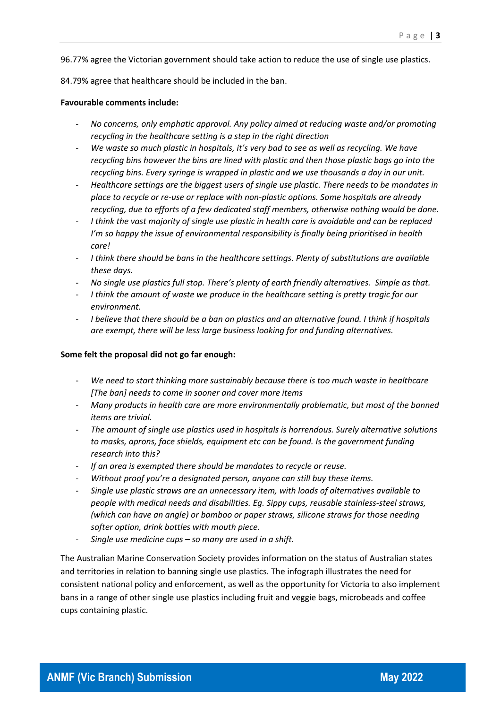96.77% agree the Victorian government should take action to reduce the use of single use plastics.

84.79% agree that healthcare should be included in the ban.

#### **Favourable comments include:**

- *No concerns, only emphatic approval. Any policy aimed at reducing waste and/or promoting recycling in the healthcare setting is a step in the right direction*
- *We waste so much plastic in hospitals, it's very bad to see as well as recycling. We have recycling bins however the bins are lined with plastic and then those plastic bags go into the recycling bins. Every syringe is wrapped in plastic and we use thousands a day in our unit.*
- *Healthcare settings are the biggest users of single use plastic. There needs to be mandates in place to recycle or re-use or replace with non-plastic options. Some hospitals are already recycling, due to efforts of a few dedicated staff members, otherwise nothing would be done.*
- *I think the vast majority of single use plastic in health care is avoidable and can be replaced I'm so happy the issue of environmental responsibility is finally being prioritised in health care!*
- *I think there should be bans in the healthcare settings. Plenty of substitutions are available these days.*
- *No single use plastics full stop. There's plenty of earth friendly alternatives. Simple as that.*
- *I think the amount of waste we produce in the healthcare setting is pretty tragic for our environment.*
- *I believe that there should be a ban on plastics and an alternative found. I think if hospitals are exempt, there will be less large business looking for and funding alternatives.*

#### **Some felt the proposal did not go far enough:**

- *We need to start thinking more sustainably because there is too much waste in healthcare [The ban] needs to come in sooner and cover more items*
- *Many products in health care are more environmentally problematic, but most of the banned items are trivial.*
- *The amount of single use plastics used in hospitals is horrendous. Surely alternative solutions to masks, aprons, face shields, equipment etc can be found. Is the government funding research into this?*
- *If an area is exempted there should be mandates to recycle or reuse.*
- Without proof you're a designated person, anyone can still buy these items.
- *Single use plastic straws are an unnecessary item, with loads of alternatives available to people with medical needs and disabilities. Eg. Sippy cups, reusable stainless-steel straws, (which can have an angle) or bamboo or paper straws, silicone straws for those needing softer option, drink bottles with mouth piece.*
- *Single use medicine cups – so many are used in a shift.*

The Australian Marine Conservation Society provides information on the status of Australian states and territories in relation to banning single use plastics. The infograph illustrates the need for consistent national policy and enforcement, as well as the opportunity for Victoria to also implement bans in a range of other single use plastics including fruit and veggie bags, microbeads and coffee cups containing plastic.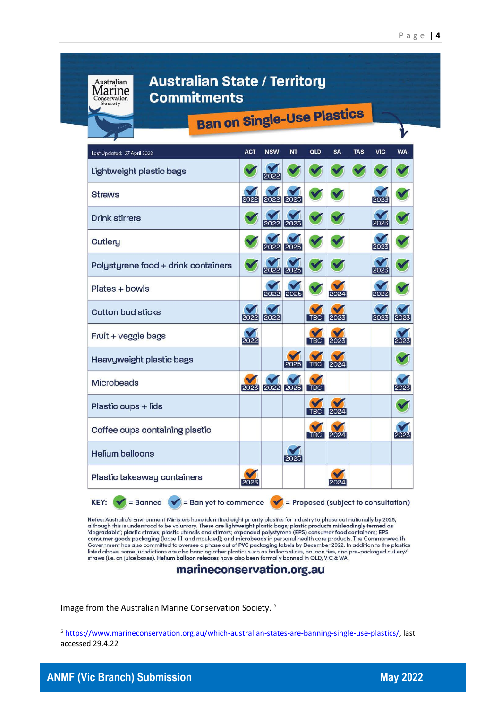

Notes: Australia's Environment Ministers have identified eight priority plastics for industry to phase out nationally by 2025, although this is understood to be voluntary. These are lightweight plastic bags; plastic products misleadingly termed as<br>'degradable'; plastic straws; plastic utensils and stirrers; expanded polystyrene (EPS) consumer food Government has also committed to oversee a phase out of PVC packaging labels by December 2022. In addition to the plastics listed above, some jurisdictions are also banning other plastics such as balloon sticks, balloon ties, and pre-packaged cutlery/<br>straws (i.e. on jurisdictions are also banning other plastics such as balloon sticks, balloon

## marineconservation.org.au

Image from the Australian Marine Conservation Society. <sup>5</sup>

<sup>5</sup> [https://www.marineconservation.org.au/which-australian-states-are-banning-single-use-plastics/,](https://www.marineconservation.org.au/which-australian-states-are-banning-single-use-plastics/) last accessed 29.4.22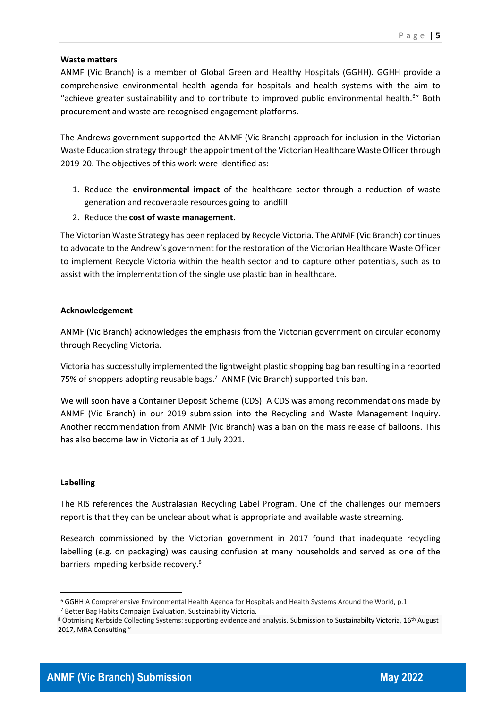## **Waste matters**

ANMF (Vic Branch) is a member of Global Green and Healthy Hospitals (GGHH). GGHH provide a comprehensive environmental health agenda for hospitals and health systems with the aim to "achieve greater sustainability and to contribute to improved public environmental health.<sup>6</sup>" Both procurement and waste are recognised engagement platforms.

The Andrews government supported the ANMF (Vic Branch) approach for inclusion in the Victorian Waste Education strategy through the appointment of the Victorian Healthcare Waste Officer through 2019-20. The objectives of this work were identified as:

- 1. Reduce the **environmental impact** of the healthcare sector through a reduction of waste generation and recoverable resources going to landfill
- 2. Reduce the **cost of waste management**.

The Victorian Waste Strategy has been replaced by Recycle Victoria. The ANMF (Vic Branch) continues to advocate to the Andrew's government for the restoration of the Victorian Healthcare Waste Officer to implement Recycle Victoria within the health sector and to capture other potentials, such as to assist with the implementation of the single use plastic ban in healthcare.

## **Acknowledgement**

ANMF (Vic Branch) acknowledges the emphasis from the Victorian government on circular economy through Recycling Victoria.

Victoria has successfully implemented the lightweight plastic shopping bag ban resulting in a reported 75% of shoppers adopting reusable bags.<sup>7</sup> ANMF (Vic Branch) supported this ban.

We will soon have a Container Deposit Scheme (CDS). A CDS was among recommendations made by ANMF (Vic Branch) in our 2019 submission into the Recycling and Waste Management Inquiry. Another recommendation from ANMF (Vic Branch) was a ban on the mass release of balloons. This has also become law in Victoria as of 1 July 2021.

## **Labelling**

The RIS references the Australasian Recycling Label Program. One of the challenges our members report is that they can be unclear about what is appropriate and available waste streaming.

Research commissioned by the Victorian government in 2017 found that inadequate recycling labelling (e.g. on packaging) was causing confusion at many households and served as one of the barriers impeding kerbside recovery.<sup>8</sup>



<sup>6</sup> GGHH A Comprehensive Environmental Health Agenda for Hospitals and Health Systems Around the World, p.1 <sup>7</sup> Better Bag Habits Campaign Evaluation, Sustainability Victoria.

<sup>8</sup> Optmising Kerbside Collecting Systems: supporting evidence and analysis. Submission to Sustainabilty Victoria, 16<sup>th</sup> August 2017, MRA Consulting."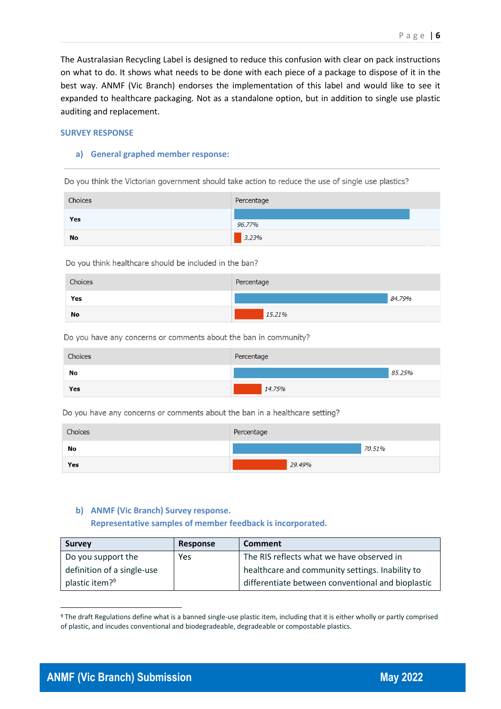The Australasian Recycling Label is designed to reduce this confusion with clear on pack instructions on what to do. It shows what needs to be done with each piece of a package to dispose of it in the best way. ANMF (Vic Branch) endorses the implementation of this label and would like to see it expanded to healthcare packaging. Not as a standalone option, but in addition to single use plastic auditing and replacement.

#### **SURVEY RESPONSE**

#### **a) General graphed member response:**

Do you think the Victorian government should take action to reduce the use of single use plastics?

| Choices   | Percentage |
|-----------|------------|
| Yes       | 96.77%     |
| <b>No</b> | 3.23%      |

Do you think healthcare should be included in the ban?

| Choices   | Percentage |        |
|-----------|------------|--------|
| Yes       |            | 84.79% |
| <b>No</b> | 15.21%     |        |

Do you have any concerns or comments about the ban in community?

| Choices | Percentage |        |
|---------|------------|--------|
| No      |            | 85.25% |
| Yes     | 14.75%     |        |

Do you have any concerns or comments about the ban in a healthcare setting?

| Choices   | Percentage |        |
|-----------|------------|--------|
| <b>No</b> |            | 70.51% |
| Yes       | 29.49%     |        |

#### **b) ANMF (Vic Branch) Survey response.**

**Representative samples of member feedback is incorporated.**

| <b>Survey</b>              | Response | <b>Comment</b>                                    |
|----------------------------|----------|---------------------------------------------------|
| Do you support the         | Yes      | The RIS reflects what we have observed in         |
| definition of a single-use |          | healthcare and community settings. Inability to   |
| plastic item? <sup>9</sup> |          | differentiate between conventional and bioplastic |

<sup>9</sup> The draft Regulations define what is a banned single-use plastic item, including that it is either wholly or partly comprised of plastic, and incudes conventional and biodegradeable, degradeable or compostable plastics.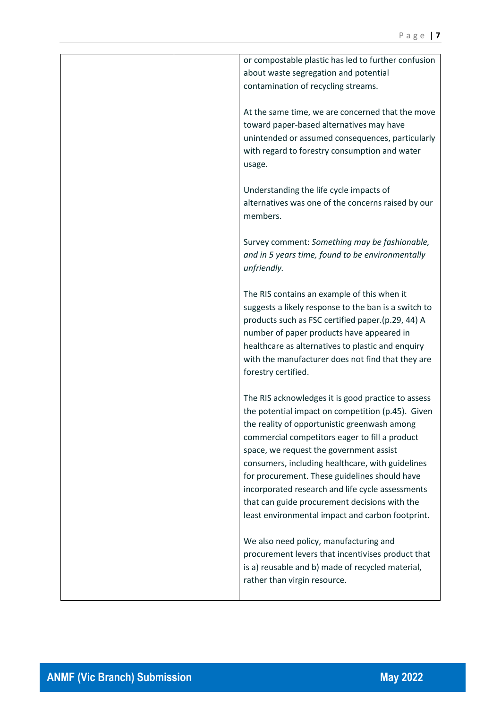| or compostable plastic has led to further confusion                                                 |
|-----------------------------------------------------------------------------------------------------|
| about waste segregation and potential                                                               |
| contamination of recycling streams.                                                                 |
|                                                                                                     |
| At the same time, we are concerned that the move                                                    |
| toward paper-based alternatives may have                                                            |
| unintended or assumed consequences, particularly                                                    |
| with regard to forestry consumption and water                                                       |
| usage.                                                                                              |
|                                                                                                     |
| Understanding the life cycle impacts of                                                             |
| alternatives was one of the concerns raised by our                                                  |
| members.                                                                                            |
|                                                                                                     |
| Survey comment: Something may be fashionable,                                                       |
| and in 5 years time, found to be environmentally                                                    |
| unfriendly.                                                                                         |
|                                                                                                     |
| The RIS contains an example of this when it<br>suggests a likely response to the ban is a switch to |
| products such as FSC certified paper.(p.29, 44) A                                                   |
| number of paper products have appeared in                                                           |
| healthcare as alternatives to plastic and enquiry                                                   |
| with the manufacturer does not find that they are                                                   |
| forestry certified.                                                                                 |
|                                                                                                     |
| The RIS acknowledges it is good practice to assess                                                  |
| the potential impact on competition (p.45). Given                                                   |
| the reality of opportunistic greenwash among                                                        |
| commercial competitors eager to fill a product                                                      |
| space, we request the government assist                                                             |
| consumers, including healthcare, with guidelines                                                    |
| for procurement. These guidelines should have                                                       |
| incorporated research and life cycle assessments                                                    |
| that can guide procurement decisions with the                                                       |
| least environmental impact and carbon footprint.                                                    |
|                                                                                                     |
| We also need policy, manufacturing and                                                              |
| procurement levers that incentivises product that                                                   |
| is a) reusable and b) made of recycled material,                                                    |
| rather than virgin resource.                                                                        |
|                                                                                                     |

Π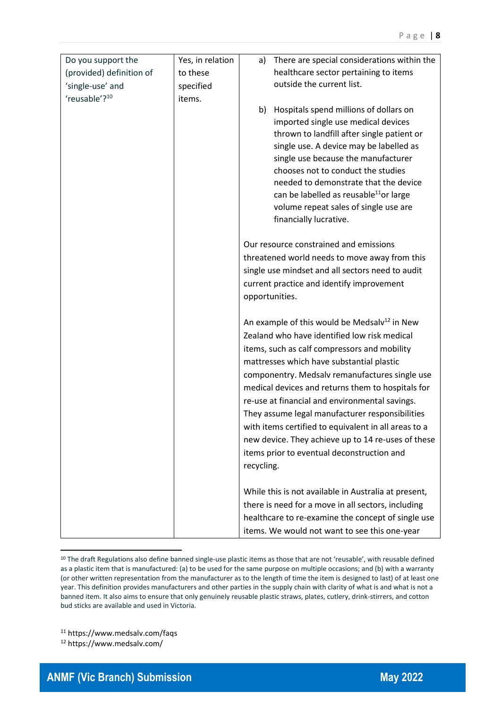| Do you support the<br>(provided) definition of<br>'single-use' and | Yes, in relation<br>to these<br>specified | There are special considerations within the<br>a)<br>healthcare sector pertaining to items<br>outside the current list.                                                                                                                                                                                                                                                                                                                                                                                                                                                                     |
|--------------------------------------------------------------------|-------------------------------------------|---------------------------------------------------------------------------------------------------------------------------------------------------------------------------------------------------------------------------------------------------------------------------------------------------------------------------------------------------------------------------------------------------------------------------------------------------------------------------------------------------------------------------------------------------------------------------------------------|
| 'reusable'? <sup>10</sup>                                          | items.                                    | Hospitals spend millions of dollars on<br>b)<br>imported single use medical devices<br>thrown to landfill after single patient or<br>single use. A device may be labelled as<br>single use because the manufacturer<br>chooses not to conduct the studies<br>needed to demonstrate that the device<br>can be labelled as reusable <sup>11</sup> or large<br>volume repeat sales of single use are<br>financially lucrative.                                                                                                                                                                 |
|                                                                    |                                           | Our resource constrained and emissions<br>threatened world needs to move away from this<br>single use mindset and all sectors need to audit<br>current practice and identify improvement<br>opportunities.                                                                                                                                                                                                                                                                                                                                                                                  |
|                                                                    |                                           | An example of this would be Medsalv <sup>12</sup> in New<br>Zealand who have identified low risk medical<br>items, such as calf compressors and mobility<br>mattresses which have substantial plastic<br>componentry. Medsalv remanufactures single use<br>medical devices and returns them to hospitals for<br>re-use at financial and environmental savings.<br>They assume legal manufacturer responsibilities<br>with items certified to equivalent in all areas to a<br>new device. They achieve up to 14 re-uses of these<br>items prior to eventual deconstruction and<br>recycling. |
|                                                                    |                                           | While this is not available in Australia at present,<br>there is need for a move in all sectors, including<br>healthcare to re-examine the concept of single use<br>items. We would not want to see this one-year                                                                                                                                                                                                                                                                                                                                                                           |

<sup>&</sup>lt;sup>10</sup> The draft Regulations also define banned single-use plastic items as those that are not 'reusable', with reusable defined as a plastic item that is manufactured: (a) to be used for the same purpose on multiple occasions; and (b) with a warranty (or other written representation from the manufacturer as to the length of time the item is designed to last) of at least one year. This definition provides manufacturers and other parties in the supply chain with clarity of what is and what is not a banned item. It also aims to ensure that only genuinely reusable plastic straws, plates, cutlery, drink-stirrers, and cotton bud sticks are available and used in Victoria.

<sup>11</sup> https://www.medsalv.com/faqs

<sup>12</sup> https://www.medsalv.com/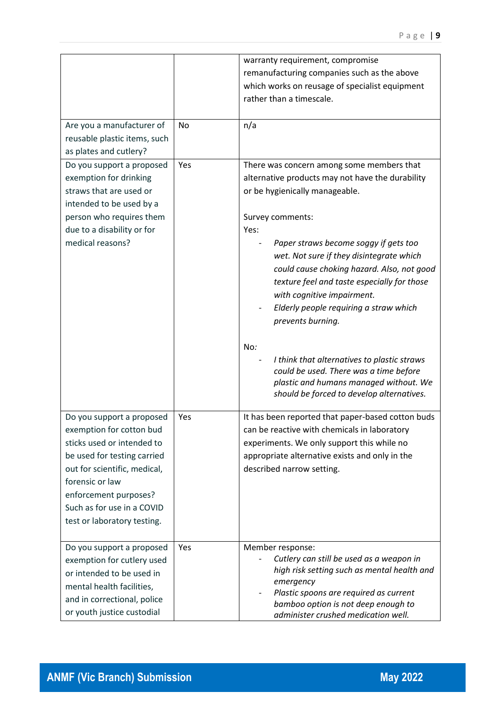|                                                                                                                                                                                                                                                             |           | warranty requirement, compromise<br>remanufacturing companies such as the above<br>which works on reusage of specialist equipment<br>rather than a timescale.                                                                                                                                                                                                                                                                                                                                                                              |
|-------------------------------------------------------------------------------------------------------------------------------------------------------------------------------------------------------------------------------------------------------------|-----------|--------------------------------------------------------------------------------------------------------------------------------------------------------------------------------------------------------------------------------------------------------------------------------------------------------------------------------------------------------------------------------------------------------------------------------------------------------------------------------------------------------------------------------------------|
| Are you a manufacturer of<br>reusable plastic items, such<br>as plates and cutlery?                                                                                                                                                                         | <b>No</b> | n/a                                                                                                                                                                                                                                                                                                                                                                                                                                                                                                                                        |
| Do you support a proposed<br>exemption for drinking<br>straws that are used or<br>intended to be used by a<br>person who requires them<br>due to a disability or for<br>medical reasons?                                                                    | Yes       | There was concern among some members that<br>alternative products may not have the durability<br>or be hygienically manageable.<br>Survey comments:<br>Yes:<br>Paper straws become soggy if gets too<br>wet. Not sure if they disintegrate which<br>could cause choking hazard. Also, not good<br>texture feel and taste especially for those<br>with cognitive impairment.<br>Elderly people requiring a straw which<br>prevents burning.<br>No:<br>I think that alternatives to plastic straws<br>could be used. There was a time before |
|                                                                                                                                                                                                                                                             |           | plastic and humans managed without. We<br>should be forced to develop alternatives.                                                                                                                                                                                                                                                                                                                                                                                                                                                        |
| Do you support a proposed<br>exemption for cotton bud<br>sticks used or intended to<br>be used for testing carried<br>out for scientific, medical,<br>forensic or law<br>enforcement purposes?<br>Such as for use in a COVID<br>test or laboratory testing. | Yes       | It has been reported that paper-based cotton buds<br>can be reactive with chemicals in laboratory<br>experiments. We only support this while no<br>appropriate alternative exists and only in the<br>described narrow setting.                                                                                                                                                                                                                                                                                                             |
| Do you support a proposed<br>exemption for cutlery used<br>or intended to be used in<br>mental health facilities,<br>and in correctional, police<br>or youth justice custodial                                                                              | Yes       | Member response:<br>Cutlery can still be used as a weapon in<br>high risk setting such as mental health and<br>emergency<br>Plastic spoons are required as current<br>bamboo option is not deep enough to<br>administer crushed medication well.                                                                                                                                                                                                                                                                                           |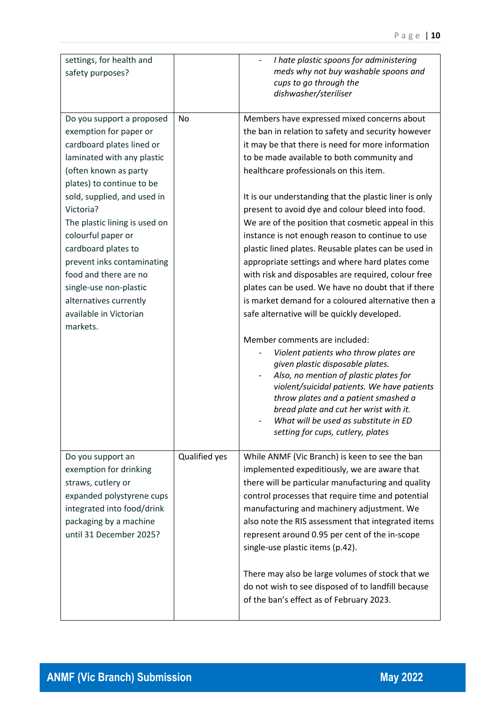| settings, for health and<br>safety purposes?                                                                                                                                                                                                                                                                                                                                                                                                    |               | I hate plastic spoons for administering<br>meds why not buy washable spoons and<br>cups to go through the<br>dishwasher/steriliser                                                                                                                                                                                                                                                                                                                                                                                                                                                                                                                                                                                                                                                                                                                                                                                                                                                                                                                                                                                                                                          |
|-------------------------------------------------------------------------------------------------------------------------------------------------------------------------------------------------------------------------------------------------------------------------------------------------------------------------------------------------------------------------------------------------------------------------------------------------|---------------|-----------------------------------------------------------------------------------------------------------------------------------------------------------------------------------------------------------------------------------------------------------------------------------------------------------------------------------------------------------------------------------------------------------------------------------------------------------------------------------------------------------------------------------------------------------------------------------------------------------------------------------------------------------------------------------------------------------------------------------------------------------------------------------------------------------------------------------------------------------------------------------------------------------------------------------------------------------------------------------------------------------------------------------------------------------------------------------------------------------------------------------------------------------------------------|
| Do you support a proposed<br>exemption for paper or<br>cardboard plates lined or<br>laminated with any plastic<br>(often known as party<br>plates) to continue to be<br>sold, supplied, and used in<br>Victoria?<br>The plastic lining is used on<br>colourful paper or<br>cardboard plates to<br>prevent inks contaminating<br>food and there are no<br>single-use non-plastic<br>alternatives currently<br>available in Victorian<br>markets. | No            | Members have expressed mixed concerns about<br>the ban in relation to safety and security however<br>it may be that there is need for more information<br>to be made available to both community and<br>healthcare professionals on this item.<br>It is our understanding that the plastic liner is only<br>present to avoid dye and colour bleed into food.<br>We are of the position that cosmetic appeal in this<br>instance is not enough reason to continue to use<br>plastic lined plates. Reusable plates can be used in<br>appropriate settings and where hard plates come<br>with risk and disposables are required, colour free<br>plates can be used. We have no doubt that if there<br>is market demand for a coloured alternative then a<br>safe alternative will be quickly developed.<br>Member comments are included:<br>Violent patients who throw plates are<br>given plastic disposable plates.<br>Also, no mention of plastic plates for<br>violent/suicidal patients. We have patients<br>throw plates and a patient smashed a<br>bread plate and cut her wrist with it.<br>What will be used as substitute in ED<br>setting for cups, cutlery, plates |
| Do you support an<br>exemption for drinking<br>straws, cutlery or<br>expanded polystyrene cups<br>integrated into food/drink<br>packaging by a machine<br>until 31 December 2025?                                                                                                                                                                                                                                                               | Qualified yes | While ANMF (Vic Branch) is keen to see the ban<br>implemented expeditiously, we are aware that<br>there will be particular manufacturing and quality<br>control processes that require time and potential<br>manufacturing and machinery adjustment. We<br>also note the RIS assessment that integrated items<br>represent around 0.95 per cent of the in-scope<br>single-use plastic items (p.42).<br>There may also be large volumes of stock that we<br>do not wish to see disposed of to landfill because<br>of the ban's effect as of February 2023.                                                                                                                                                                                                                                                                                                                                                                                                                                                                                                                                                                                                                   |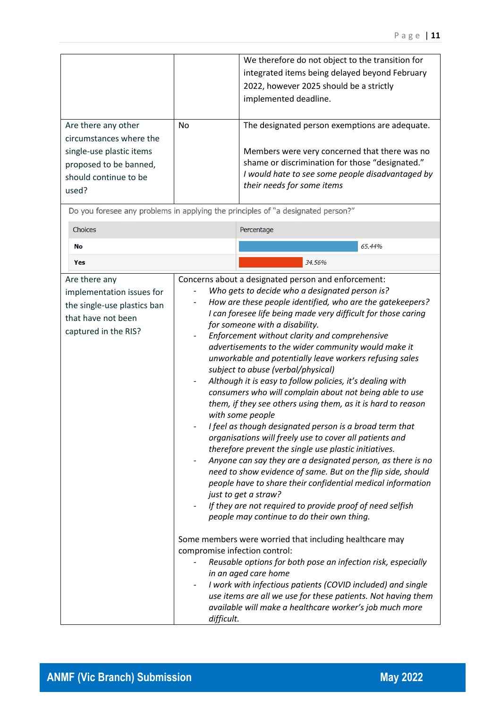| Are there any other<br>circumstances where the<br>single-use plastic items<br>proposed to be banned,<br>should continue to be<br>used? | <b>No</b>                                   | We therefore do not object to the transition for<br>integrated items being delayed beyond February<br>2022, however 2025 should be a strictly<br>implemented deadline.<br>The designated person exemptions are adequate.<br>Members were very concerned that there was no<br>shame or discrimination for those "designated."<br>I would hate to see some people disadvantaged by<br>their needs for some items                                                                                                                                                                                                                                                                                                                                                                                                                                                                                                                                                                                                                                                                                                                                                                                                                                                                                                                                                                                                                                                                                                                                         |
|----------------------------------------------------------------------------------------------------------------------------------------|---------------------------------------------|--------------------------------------------------------------------------------------------------------------------------------------------------------------------------------------------------------------------------------------------------------------------------------------------------------------------------------------------------------------------------------------------------------------------------------------------------------------------------------------------------------------------------------------------------------------------------------------------------------------------------------------------------------------------------------------------------------------------------------------------------------------------------------------------------------------------------------------------------------------------------------------------------------------------------------------------------------------------------------------------------------------------------------------------------------------------------------------------------------------------------------------------------------------------------------------------------------------------------------------------------------------------------------------------------------------------------------------------------------------------------------------------------------------------------------------------------------------------------------------------------------------------------------------------------------|
|                                                                                                                                        |                                             | Do you foresee any problems in applying the principles of "a designated person?"                                                                                                                                                                                                                                                                                                                                                                                                                                                                                                                                                                                                                                                                                                                                                                                                                                                                                                                                                                                                                                                                                                                                                                                                                                                                                                                                                                                                                                                                       |
| Choices                                                                                                                                |                                             | Percentage                                                                                                                                                                                                                                                                                                                                                                                                                                                                                                                                                                                                                                                                                                                                                                                                                                                                                                                                                                                                                                                                                                                                                                                                                                                                                                                                                                                                                                                                                                                                             |
| No                                                                                                                                     |                                             | 65.44%                                                                                                                                                                                                                                                                                                                                                                                                                                                                                                                                                                                                                                                                                                                                                                                                                                                                                                                                                                                                                                                                                                                                                                                                                                                                                                                                                                                                                                                                                                                                                 |
| Yes                                                                                                                                    |                                             | 34.56%                                                                                                                                                                                                                                                                                                                                                                                                                                                                                                                                                                                                                                                                                                                                                                                                                                                                                                                                                                                                                                                                                                                                                                                                                                                                                                                                                                                                                                                                                                                                                 |
| Are there any<br>implementation issues for<br>the single-use plastics ban<br>that have not been<br>captured in the RIS?                | compromise infection control:<br>difficult. | Concerns about a designated person and enforcement:<br>Who gets to decide who a designated person is?<br>How are these people identified, who are the gatekeepers?<br>I can foresee life being made very difficult for those caring<br>for someone with a disability.<br>Enforcement without clarity and comprehensive<br>advertisements to the wider community would make it<br>unworkable and potentially leave workers refusing sales<br>subject to abuse (verbal/physical)<br>Although it is easy to follow policies, it's dealing with<br>consumers who will complain about not being able to use<br>them, if they see others using them, as it is hard to reason<br>with some people<br>I feel as though designated person is a broad term that<br>organisations will freely use to cover all patients and<br>therefore prevent the single use plastic initiatives.<br>Anyone can say they are a designated person, as there is no<br>need to show evidence of same. But on the flip side, should<br>people have to share their confidential medical information<br>just to get a straw?<br>If they are not required to provide proof of need selfish<br>people may continue to do their own thing.<br>Some members were worried that including healthcare may<br>Reusable options for both pose an infection risk, especially<br>in an aged care home<br>I work with infectious patients (COVID included) and single<br>use items are all we use for these patients. Not having them<br>available will make a healthcare worker's job much more |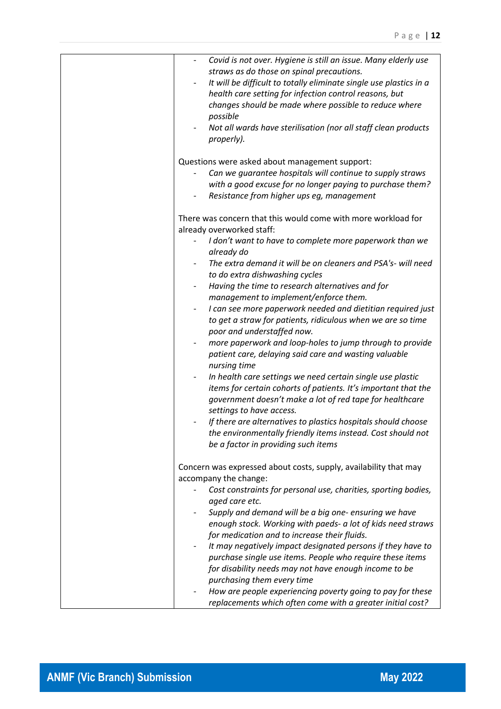| Covid is not over. Hygiene is still an issue. Many elderly use<br>straws as do those on spinal precautions.<br>It will be difficult to totally eliminate single use plastics in a<br>health care setting for infection control reasons, but<br>changes should be made where possible to reduce where |
|------------------------------------------------------------------------------------------------------------------------------------------------------------------------------------------------------------------------------------------------------------------------------------------------------|
| possible                                                                                                                                                                                                                                                                                             |
| Not all wards have sterilisation (nor all staff clean products<br>properly).                                                                                                                                                                                                                         |
| Questions were asked about management support:<br>Can we guarantee hospitals will continue to supply straws<br>with a good excuse for no longer paying to purchase them?<br>Resistance from higher ups eg, management                                                                                |
| There was concern that this would come with more workload for<br>already overworked staff:                                                                                                                                                                                                           |
| I don't want to have to complete more paperwork than we<br>already do                                                                                                                                                                                                                                |
| The extra demand it will be on cleaners and PSA's- will need<br>to do extra dishwashing cycles                                                                                                                                                                                                       |
| Having the time to research alternatives and for<br>management to implement/enforce them.                                                                                                                                                                                                            |
| I can see more paperwork needed and dietitian required just<br>to get a straw for patients, ridiculous when we are so time<br>poor and understaffed now.                                                                                                                                             |
| more paperwork and loop-holes to jump through to provide<br>patient care, delaying said care and wasting valuable<br>nursing time                                                                                                                                                                    |
| In health care settings we need certain single use plastic<br>items for certain cohorts of patients. It's important that the<br>government doesn't make a lot of red tape for healthcare<br>settings to have access.                                                                                 |
| If there are alternatives to plastics hospitals should choose<br>the environmentally friendly items instead. Cost should not<br>be a factor in providing such items                                                                                                                                  |
| Concern was expressed about costs, supply, availability that may<br>accompany the change:                                                                                                                                                                                                            |
| Cost constraints for personal use, charities, sporting bodies,<br>aged care etc.                                                                                                                                                                                                                     |
| Supply and demand will be a big one- ensuring we have<br>$\qquad \qquad -$<br>enough stock. Working with paeds- a lot of kids need straws<br>for medication and to increase their fluids.                                                                                                            |
| It may negatively impact designated persons if they have to<br>$\overline{\phantom{0}}$<br>purchase single use items. People who require these items<br>for disability needs may not have enough income to be<br>purchasing them every time                                                          |
| How are people experiencing poverty going to pay for these<br>replacements which often come with a greater initial cost?                                                                                                                                                                             |